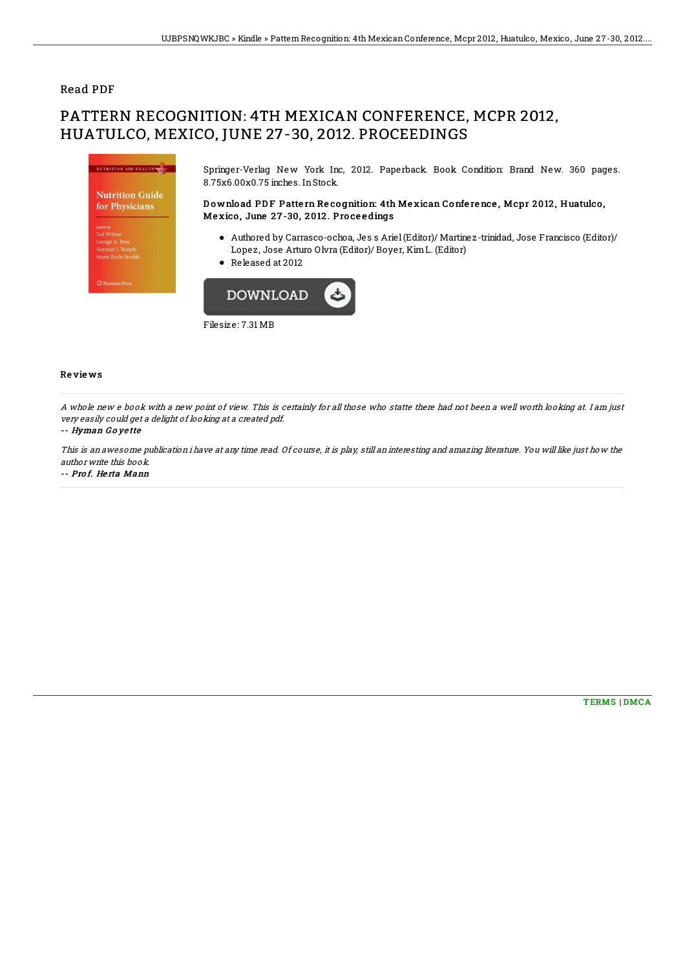### Read PDF

# PATTERN RECOGNITION: 4TH MEXICAN CONFERENCE, MCPR 2012, HUATULCO, MEXICO, JUNE 27-30, 2012. PROCEEDINGS



Filesize: 7.31 MB

#### Re vie ws

A whole new <sup>e</sup> book with <sup>a</sup> new point of view. This is certainly for all those who statte there had not been <sup>a</sup> well worth looking at. I am just very easily could get <sup>a</sup> delight of looking at <sup>a</sup> created pdf.

#### -- Hyman G <sup>o</sup> ye tte

This is an awesome publication i have at any time read. Of course, it is play, still an interesting and amazing literature. You will like just how the author write this book.

-- Prof. Herta Mann